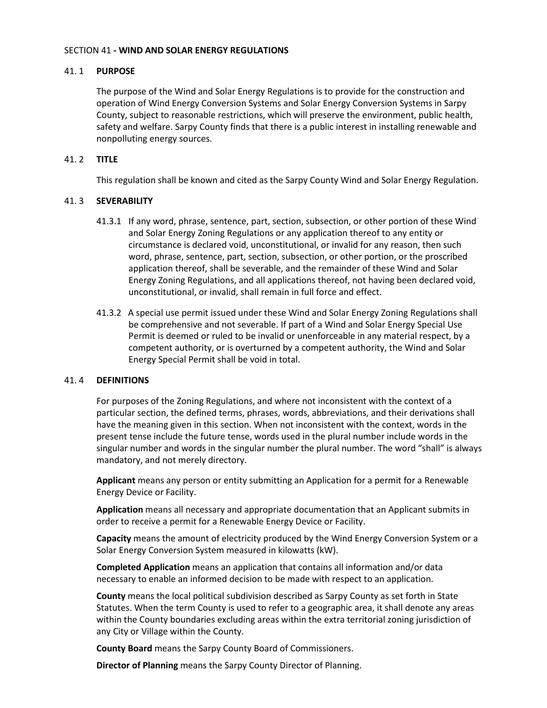### SECTION 41 **- WIND AND SOLAR ENERGY REGULATIONS**

## 41. 1 **PURPOSE**

The purpose of the Wind and Solar Energy Regulations is to provide for the construction and operation of Wind Energy Conversion Systems and Solar Energy Conversion Systems in Sarpy County, subject to reasonable restrictions, which will preserve the environment, public health, safety and welfare. Sarpy County finds that there is a public interest in installing renewable and nonpolluting energy sources.

## 41. 2 **TITLE**

This regulation shall be known and cited as the Sarpy County Wind and Solar Energy Regulation.

# 41. 3 **SEVERABILITY**

- 41.3.1 If any word, phrase, sentence, part, section, subsection, or other portion of these Wind and Solar Energy Zoning Regulations or any application thereof to any entity or circumstance is declared void, unconstitutional, or invalid for any reason, then such word, phrase, sentence, part, section, subsection, or other portion, or the proscribed application thereof, shall be severable, and the remainder of these Wind and Solar Energy Zoning Regulations, and all applications thereof, not having been declared void, unconstitutional, or invalid, shall remain in full force and effect.
- 41.3.2 A special use permit issued under these Wind and Solar Energy Zoning Regulations shall be comprehensive and not severable. If part of a Wind and Solar Energy Special Use Permit is deemed or ruled to be invalid or unenforceable in any material respect, by a competent authority, or is overturned by a competent authority, the Wind and Solar Energy Special Permit shall be void in total.

## 41. 4 **DEFINITIONS**

For purposes of the Zoning Regulations, and where not inconsistent with the context of a particular section, the defined terms, phrases, words, abbreviations, and their derivations shall have the meaning given in this section. When not inconsistent with the context, words in the present tense include the future tense, words used in the plural number include words in the singular number and words in the singular number the plural number. The word "shall" is always mandatory, and not merely directory.

**Applicant** means any person or entity submitting an Application for a permit for a Renewable Energy Device or Facility.

**Application** means all necessary and appropriate documentation that an Applicant submits in order to receive a permit for a Renewable Energy Device or Facility.

**Capacity** means the amount of electricity produced by the Wind Energy Conversion System or a Solar Energy Conversion System measured in kilowatts (kW).

**Completed Application** means an application that contains all information and/or data necessary to enable an informed decision to be made with respect to an application.

**County** means the local political subdivision described as Sarpy County as set forth in State Statutes. When the term County is used to refer to a geographic area, it shall denote any areas within the County boundaries excluding areas within the extra territorial zoning jurisdiction of any City or Village within the County.

**County Board** means the Sarpy County Board of Commissioners.

**Director of Planning** means the Sarpy County Director of Planning.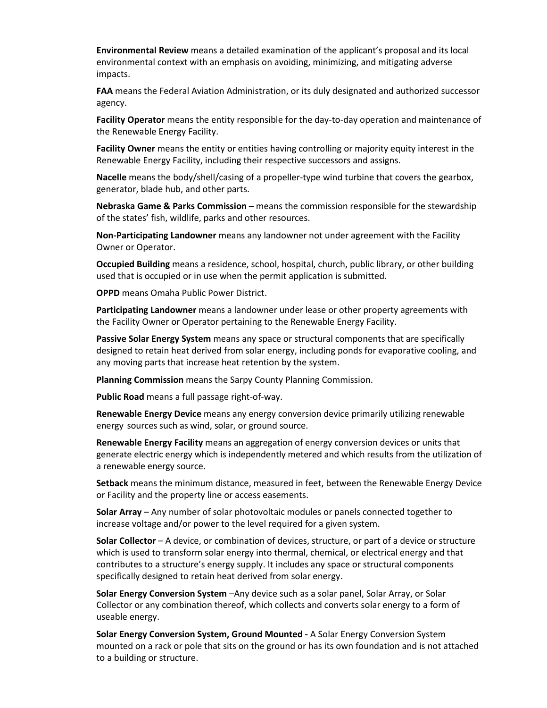**Environmental Review** means a detailed examination of the applicant's proposal and its local environmental context with an emphasis on avoiding, minimizing, and mitigating adverse impacts.

**FAA** means the Federal Aviation Administration, or its duly designated and authorized successor agency.

**Facility Operator** means the entity responsible for the day-to-day operation and maintenance of the Renewable Energy Facility.

**Facility Owner** means the entity or entities having controlling or majority equity interest in the Renewable Energy Facility, including their respective successors and assigns.

**Nacelle** means the body/shell/casing of a propeller-type wind turbine that covers the gearbox, generator, blade hub, and other parts.

**Nebraska Game & Parks Commission** – means the commission responsible for the stewardship of the states' fish, wildlife, parks and other resources.

**Non-Participating Landowner** means any landowner not under agreement with the Facility Owner or Operator.

**Occupied Building** means a residence, school, hospital, church, public library, or other building used that is occupied or in use when the permit application is submitted.

**OPPD** means Omaha Public Power District.

**Participating Landowner** means a landowner under lease or other property agreements with the Facility Owner or Operator pertaining to the Renewable Energy Facility.

**Passive Solar Energy System** means any space or structural components that are specifically designed to retain heat derived from solar energy, including ponds for evaporative cooling, and any moving parts that increase heat retention by the system.

**Planning Commission** means the Sarpy County Planning Commission.

**Public Road** means a full passage right-of-way.

**Renewable Energy Device** means any energy conversion device primarily utilizing renewable energy sources such as wind, solar, or ground source.

**Renewable Energy Facility** means an aggregation of energy conversion devices or units that generate electric energy which is independently metered and which results from the utilization of a renewable energy source.

**Setback** means the minimum distance, measured in feet, between the Renewable Energy Device or Facility and the property line or access easements.

**Solar Array** – Any number of solar photovoltaic modules or panels connected together to increase voltage and/or power to the level required for a given system.

**Solar Collector** – A device, or combination of devices, structure, or part of a device or structure which is used to transform solar energy into thermal, chemical, or electrical energy and that contributes to a structure's energy supply. It includes any space or structural components specifically designed to retain heat derived from solar energy.

**Solar Energy Conversion System** –Any device such as a solar panel, Solar Array, or Solar Collector or any combination thereof, which collects and converts solar energy to a form of useable energy.

**Solar Energy Conversion System, Ground Mounted -** A Solar Energy Conversion System mounted on a rack or pole that sits on the ground or has its own foundation and is not attached to a building or structure.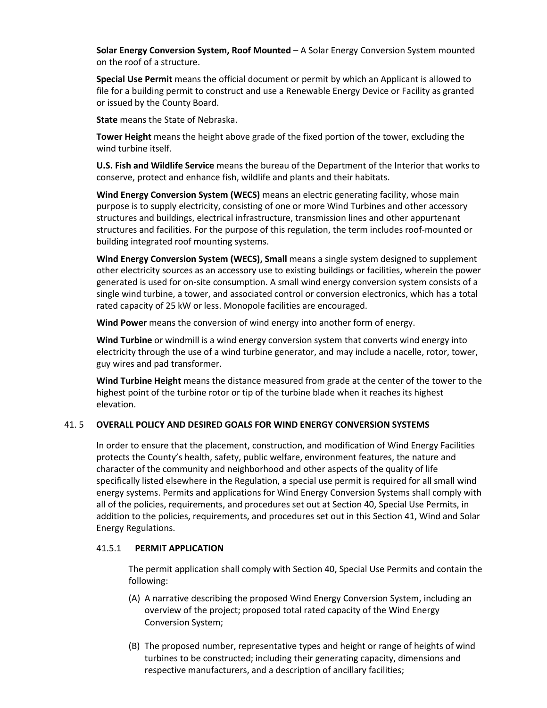**Solar Energy Conversion System, Roof Mounted** – A Solar Energy Conversion System mounted on the roof of a structure.

**Special Use Permit** means the official document or permit by which an Applicant is allowed to file for a building permit to construct and use a Renewable Energy Device or Facility as granted or issued by the County Board.

**State** means the State of Nebraska.

**Tower Height** means the height above grade of the fixed portion of the tower, excluding the wind turbine itself.

**U.S. Fish and Wildlife Service** means the bureau of the Department of the Interior that works to conserve, protect and enhance fish, wildlife and plants and their habitats.

**Wind Energy Conversion System (WECS)** means an electric generating facility, whose main purpose is to supply electricity, consisting of one or more Wind Turbines and other accessory structures and buildings, electrical infrastructure, transmission lines and other appurtenant structures and facilities. For the purpose of this regulation, the term includes roof-mounted or building integrated roof mounting systems.

**Wind Energy Conversion System (WECS), Small** means a single system designed to supplement other electricity sources as an accessory use to existing buildings or facilities, wherein the power generated is used for on-site consumption. A small wind energy conversion system consists of a single wind turbine, a tower, and associated control or conversion electronics, which has a total rated capacity of 25 kW or less. Monopole facilities are encouraged.

**Wind Power** means the conversion of wind energy into another form of energy.

**Wind Turbine** or windmill is a wind energy conversion system that converts wind energy into electricity through the use of a wind turbine generator, and may include a nacelle, rotor, tower, guy wires and pad transformer.

**Wind Turbine Height** means the distance measured from grade at the center of the tower to the highest point of the turbine rotor or tip of the turbine blade when it reaches its highest elevation.

## 41. 5 **OVERALL POLICY AND DESIRED GOALS FOR WIND ENERGY CONVERSION SYSTEMS**

In order to ensure that the placement, construction, and modification of Wind Energy Facilities protects the County's health, safety, public welfare, environment features, the nature and character of the community and neighborhood and other aspects of the quality of life specifically listed elsewhere in the Regulation, a special use permit is required for all small wind energy systems. Permits and applications for Wind Energy Conversion Systems shall comply with all of the policies, requirements, and procedures set out at Section 40, Special Use Permits, in addition to the policies, requirements, and procedures set out in this Section 41, Wind and Solar Energy Regulations.

## 41.5.1 **PERMIT APPLICATION**

The permit application shall comply with Section 40, Special Use Permits and contain the following:

- (A) A narrative describing the proposed Wind Energy Conversion System, including an overview of the project; proposed total rated capacity of the Wind Energy Conversion System;
- (B) The proposed number, representative types and height or range of heights of wind turbines to be constructed; including their generating capacity, dimensions and respective manufacturers, and a description of ancillary facilities;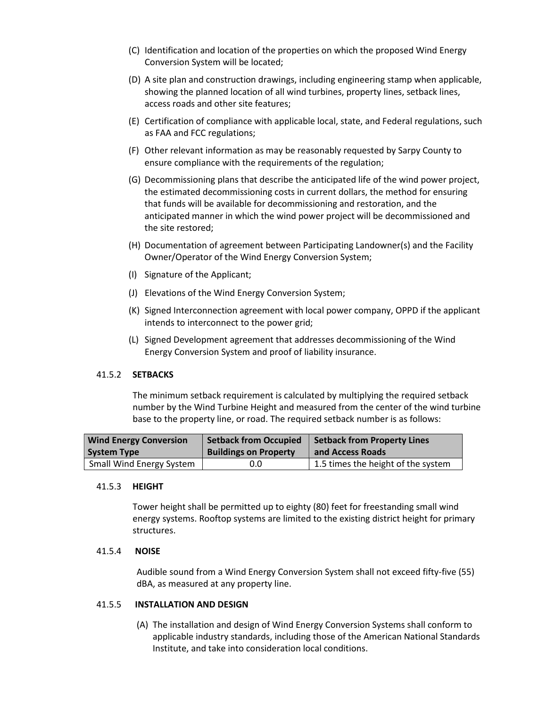- (C) Identification and location of the properties on which the proposed Wind Energy Conversion System will be located;
- (D) A site plan and construction drawings, including engineering stamp when applicable, showing the planned location of all wind turbines, property lines, setback lines, access roads and other site features;
- (E) Certification of compliance with applicable local, state, and Federal regulations, such as FAA and FCC regulations;
- (F) Other relevant information as may be reasonably requested by Sarpy County to ensure compliance with the requirements of the regulation;
- (G) Decommissioning plans that describe the anticipated life of the wind power project, the estimated decommissioning costs in current dollars, the method for ensuring that funds will be available for decommissioning and restoration, and the anticipated manner in which the wind power project will be decommissioned and the site restored;
- (H) Documentation of agreement between Participating Landowner(s) and the Facility Owner/Operator of the Wind Energy Conversion System;
- (I) Signature of the Applicant;
- (J) Elevations of the Wind Energy Conversion System;
- (K) Signed Interconnection agreement with local power company, OPPD if the applicant intends to interconnect to the power grid;
- (L) Signed Development agreement that addresses decommissioning of the Wind Energy Conversion System and proof of liability insurance.

## 41.5.2 **SETBACKS**

The minimum setback requirement is calculated by multiplying the required setback number by the Wind Turbine Height and measured from the center of the wind turbine base to the property line, or road. The required setback number is as follows:

| <b>Wind Energy Conversion</b>   | <b>Setback from Occupied</b> | Setback from Property Lines        |
|---------------------------------|------------------------------|------------------------------------|
| <b>System Type</b>              | <b>Buildings on Property</b> | and Access Roads                   |
| <b>Small Wind Energy System</b> | 0.0                          | 1.5 times the height of the system |

### 41.5.3 **HEIGHT**

Tower height shall be permitted up to eighty (80) feet for freestanding small wind energy systems. Rooftop systems are limited to the existing district height for primary structures.

### 41.5.4 **NOISE**

Audible sound from a Wind Energy Conversion System shall not exceed fifty-five (55) dBA, as measured at any property line.

### 41.5.5 **INSTALLATION AND DESIGN**

(A) The installation and design of Wind Energy Conversion Systems shall conform to applicable industry standards, including those of the American National Standards Institute, and take into consideration local conditions.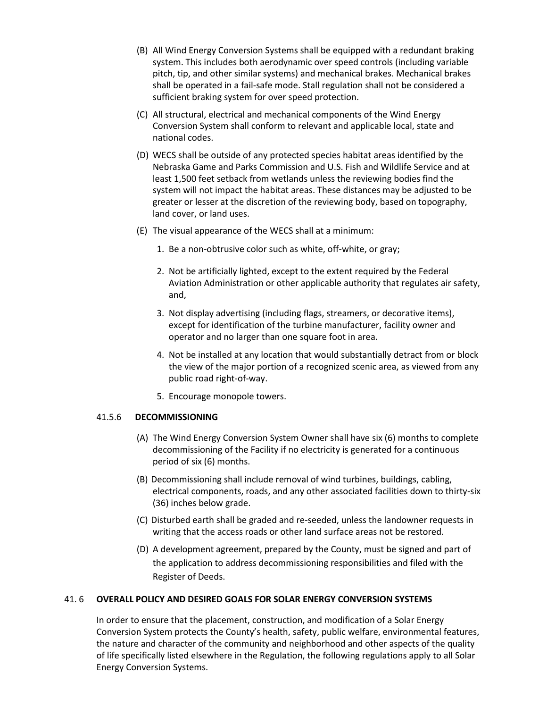- (B) All Wind Energy Conversion Systems shall be equipped with a redundant braking system. This includes both aerodynamic over speed controls (including variable pitch, tip, and other similar systems) and mechanical brakes. Mechanical brakes shall be operated in a fail-safe mode. Stall regulation shall not be considered a sufficient braking system for over speed protection.
- (C) All structural, electrical and mechanical components of the Wind Energy Conversion System shall conform to relevant and applicable local, state and national codes.
- (D) WECS shall be outside of any protected species habitat areas identified by the Nebraska Game and Parks Commission and U.S. Fish and Wildlife Service and at least 1,500 feet setback from wetlands unless the reviewing bodies find the system will not impact the habitat areas. These distances may be adjusted to be greater or lesser at the discretion of the reviewing body, based on topography, land cover, or land uses.
- (E) The visual appearance of the WECS shall at a minimum:
	- 1. Be a non-obtrusive color such as white, off-white, or gray;
	- 2. Not be artificially lighted, except to the extent required by the Federal Aviation Administration or other applicable authority that regulates air safety, and,
	- 3. Not display advertising (including flags, streamers, or decorative items), except for identification of the turbine manufacturer, facility owner and operator and no larger than one square foot in area.
	- 4. Not be installed at any location that would substantially detract from or block the view of the major portion of a recognized scenic area, as viewed from any public road right-of-way.
	- 5. Encourage monopole towers.

## 41.5.6 **DECOMMISSIONING**

- (A) The Wind Energy Conversion System Owner shall have six (6) months to complete decommissioning of the Facility if no electricity is generated for a continuous period of six (6) months.
- (B) Decommissioning shall include removal of wind turbines, buildings, cabling, electrical components, roads, and any other associated facilities down to thirty-six (36) inches below grade.
- (C) Disturbed earth shall be graded and re-seeded, unless the landowner requests in writing that the access roads or other land surface areas not be restored.
- (D) A development agreement, prepared by the County, must be signed and part of the application to address decommissioning responsibilities and filed with the Register of Deeds.

## 41. 6 **OVERALL POLICY AND DESIRED GOALS FOR SOLAR ENERGY CONVERSION SYSTEMS**

In order to ensure that the placement, construction, and modification of a Solar Energy Conversion System protects the County's health, safety, public welfare, environmental features, the nature and character of the community and neighborhood and other aspects of the quality of life specifically listed elsewhere in the Regulation, the following regulations apply to all Solar Energy Conversion Systems.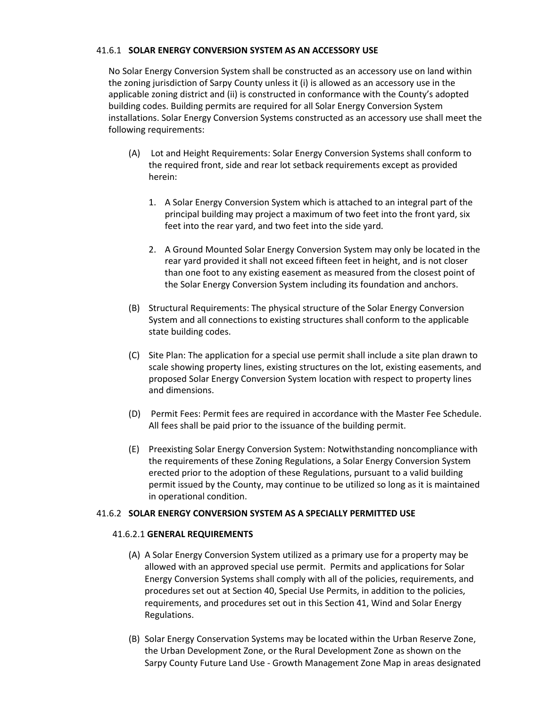### 41.6.1 **SOLAR ENERGY CONVERSION SYSTEM AS AN ACCESSORY USE**

No Solar Energy Conversion System shall be constructed as an accessory use on land within the zoning jurisdiction of Sarpy County unless it (i) is allowed as an accessory use in the applicable zoning district and (ii) is constructed in conformance with the County's adopted building codes. Building permits are required for all Solar Energy Conversion System installations. Solar Energy Conversion Systems constructed as an accessory use shall meet the following requirements:

- (A) Lot and Height Requirements: Solar Energy Conversion Systems shall conform to the required front, side and rear lot setback requirements except as provided herein:
	- 1. A Solar Energy Conversion System which is attached to an integral part of the principal building may project a maximum of two feet into the front yard, six feet into the rear yard, and two feet into the side yard.
	- 2. A Ground Mounted Solar Energy Conversion System may only be located in the rear yard provided it shall not exceed fifteen feet in height, and is not closer than one foot to any existing easement as measured from the closest point of the Solar Energy Conversion System including its foundation and anchors.
- (B) Structural Requirements: The physical structure of the Solar Energy Conversion System and all connections to existing structures shall conform to the applicable state building codes.
- (C) Site Plan: The application for a special use permit shall include a site plan drawn to scale showing property lines, existing structures on the lot, existing easements, and proposed Solar Energy Conversion System location with respect to property lines and dimensions.
- (D) Permit Fees: Permit fees are required in accordance with the Master Fee Schedule. All fees shall be paid prior to the issuance of the building permit.
- (E) Preexisting Solar Energy Conversion System: Notwithstanding noncompliance with the requirements of these Zoning Regulations, a Solar Energy Conversion System erected prior to the adoption of these Regulations, pursuant to a valid building permit issued by the County, may continue to be utilized so long as it is maintained in operational condition.

## 41.6.2 **SOLAR ENERGY CONVERSION SYSTEM AS A SPECIALLY PERMITTED USE**

### 41.6.2.1 **GENERAL REQUIREMENTS**

- (A) A Solar Energy Conversion System utilized as a primary use for a property may be allowed with an approved special use permit. Permits and applications for Solar Energy Conversion Systems shall comply with all of the policies, requirements, and procedures set out at Section 40, Special Use Permits, in addition to the policies, requirements, and procedures set out in this Section 41, Wind and Solar Energy Regulations.
- (B) Solar Energy Conservation Systems may be located within the Urban Reserve Zone, the Urban Development Zone, or the Rural Development Zone as shown on the Sarpy County Future Land Use - Growth Management Zone Map in areas designated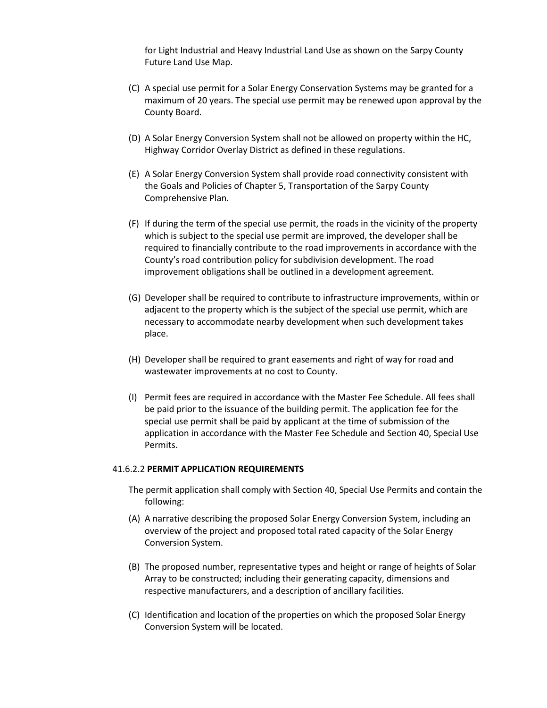for Light Industrial and Heavy Industrial Land Use as shown on the Sarpy County Future Land Use Map.

- (C) A special use permit for a Solar Energy Conservation Systems may be granted for a maximum of 20 years. The special use permit may be renewed upon approval by the County Board.
- (D) A Solar Energy Conversion System shall not be allowed on property within the HC, Highway Corridor Overlay District as defined in these regulations.
- (E) A Solar Energy Conversion System shall provide road connectivity consistent with the Goals and Policies of Chapter 5, Transportation of the Sarpy County Comprehensive Plan.
- (F) If during the term of the special use permit, the roads in the vicinity of the property which is subject to the special use permit are improved, the developer shall be required to financially contribute to the road improvements in accordance with the County's road contribution policy for subdivision development. The road improvement obligations shall be outlined in a development agreement.
- (G) Developer shall be required to contribute to infrastructure improvements, within or adjacent to the property which is the subject of the special use permit, which are necessary to accommodate nearby development when such development takes place.
- (H) Developer shall be required to grant easements and right of way for road and wastewater improvements at no cost to County.
- (I) Permit fees are required in accordance with the Master Fee Schedule. All fees shall be paid prior to the issuance of the building permit. The application fee for the special use permit shall be paid by applicant at the time of submission of the application in accordance with the Master Fee Schedule and Section 40, Special Use Permits.

### 41.6.2.2 **PERMIT APPLICATION REQUIREMENTS**

- The permit application shall comply with Section 40, Special Use Permits and contain the following:
- (A) A narrative describing the proposed Solar Energy Conversion System, including an overview of the project and proposed total rated capacity of the Solar Energy Conversion System.
- (B) The proposed number, representative types and height or range of heights of Solar Array to be constructed; including their generating capacity, dimensions and respective manufacturers, and a description of ancillary facilities.
- (C) Identification and location of the properties on which the proposed Solar Energy Conversion System will be located.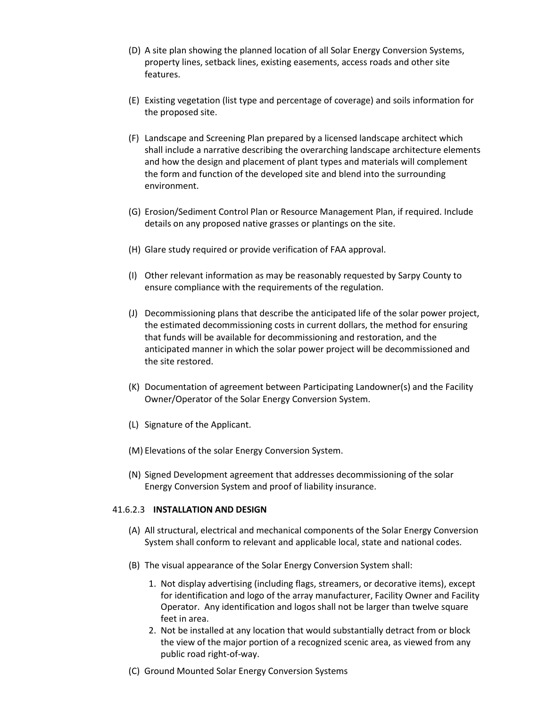- (D) A site plan showing the planned location of all Solar Energy Conversion Systems, property lines, setback lines, existing easements, access roads and other site features.
- (E) Existing vegetation (list type and percentage of coverage) and soils information for the proposed site.
- (F) Landscape and Screening Plan prepared by a licensed landscape architect which shall include a narrative describing the overarching landscape architecture elements and how the design and placement of plant types and materials will complement the form and function of the developed site and blend into the surrounding environment.
- (G) Erosion/Sediment Control Plan or Resource Management Plan, if required. Include details on any proposed native grasses or plantings on the site.
- (H) Glare study required or provide verification of FAA approval.
- (I) Other relevant information as may be reasonably requested by Sarpy County to ensure compliance with the requirements of the regulation.
- (J) Decommissioning plans that describe the anticipated life of the solar power project, the estimated decommissioning costs in current dollars, the method for ensuring that funds will be available for decommissioning and restoration, and the anticipated manner in which the solar power project will be decommissioned and the site restored.
- (K) Documentation of agreement between Participating Landowner(s) and the Facility Owner/Operator of the Solar Energy Conversion System.
- (L) Signature of the Applicant.
- (M) Elevations of the solar Energy Conversion System.
- (N) Signed Development agreement that addresses decommissioning of the solar Energy Conversion System and proof of liability insurance.

### 41.6.2.3 **INSTALLATION AND DESIGN**

- (A) All structural, electrical and mechanical components of the Solar Energy Conversion System shall conform to relevant and applicable local, state and national codes.
- (B) The visual appearance of the Solar Energy Conversion System shall:
	- 1. Not display advertising (including flags, streamers, or decorative items), except for identification and logo of the array manufacturer, Facility Owner and Facility Operator. Any identification and logos shall not be larger than twelve square feet in area.
	- 2. Not be installed at any location that would substantially detract from or block the view of the major portion of a recognized scenic area, as viewed from any public road right-of-way.
- (C) Ground Mounted Solar Energy Conversion Systems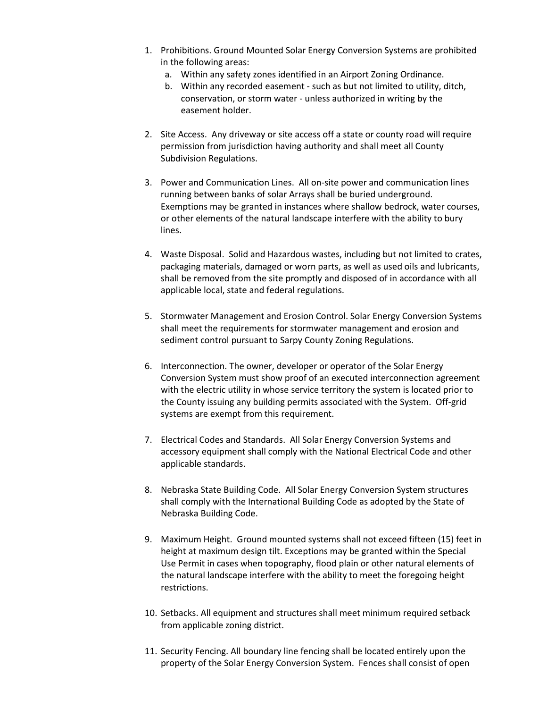- 1. Prohibitions. Ground Mounted Solar Energy Conversion Systems are prohibited in the following areas:
	- a. Within any safety zones identified in an Airport Zoning Ordinance.
	- b. Within any recorded easement such as but not limited to utility, ditch, conservation, or storm water - unless authorized in writing by the easement holder.
- 2. Site Access. Any driveway or site access off a state or county road will require permission from jurisdiction having authority and shall meet all County Subdivision Regulations.
- 3. Power and Communication Lines. All on-site power and communication lines running between banks of solar Arrays shall be buried underground. Exemptions may be granted in instances where shallow bedrock, water courses, or other elements of the natural landscape interfere with the ability to bury lines.
- 4. Waste Disposal. Solid and Hazardous wastes, including but not limited to crates, packaging materials, damaged or worn parts, as well as used oils and lubricants, shall be removed from the site promptly and disposed of in accordance with all applicable local, state and federal regulations.
- 5. Stormwater Management and Erosion Control. Solar Energy Conversion Systems shall meet the requirements for stormwater management and erosion and sediment control pursuant to Sarpy County Zoning Regulations.
- 6. Interconnection. The owner, developer or operator of the Solar Energy Conversion System must show proof of an executed interconnection agreement with the electric utility in whose service territory the system is located prior to the County issuing any building permits associated with the System. Off-grid systems are exempt from this requirement.
- 7. Electrical Codes and Standards. All Solar Energy Conversion Systems and accessory equipment shall comply with the National Electrical Code and other applicable standards.
- 8. Nebraska State Building Code. All Solar Energy Conversion System structures shall comply with the International Building Code as adopted by the State of Nebraska Building Code.
- 9. Maximum Height. Ground mounted systems shall not exceed fifteen (15) feet in height at maximum design tilt. Exceptions may be granted within the Special Use Permit in cases when topography, flood plain or other natural elements of the natural landscape interfere with the ability to meet the foregoing height restrictions.
- 10. Setbacks. All equipment and structures shall meet minimum required setback from applicable zoning district.
- 11. Security Fencing. All boundary line fencing shall be located entirely upon the property of the Solar Energy Conversion System. Fences shall consist of open